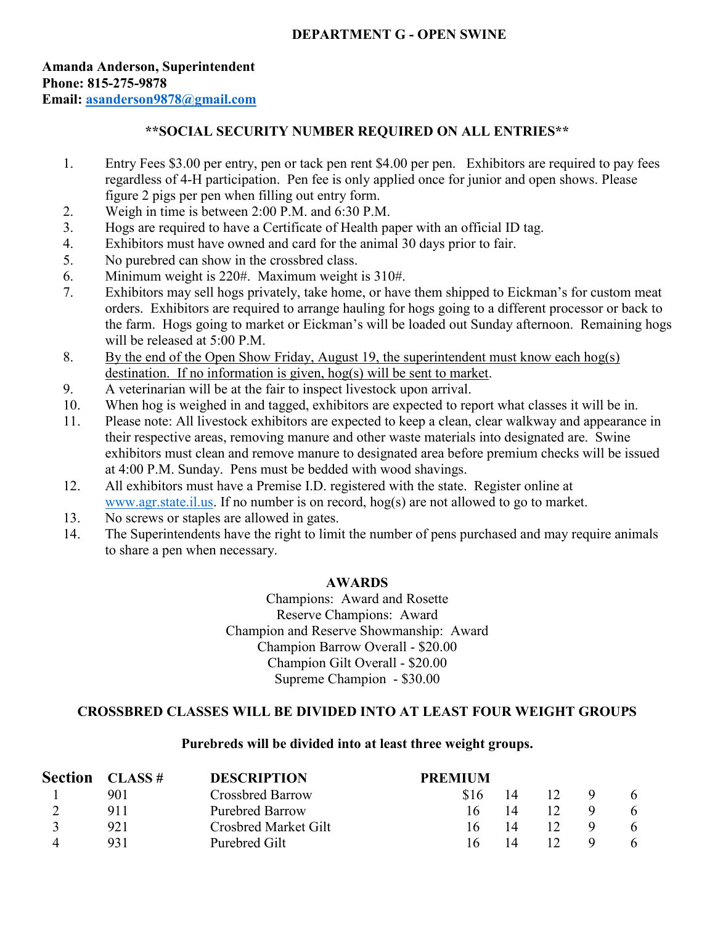### **Amanda Anderson, Superintendent Phone: 815-275-9878 Email: [asanderson9878@gmail.com](mailto:asanderson9878@gmail.com)**

## **\*\*SOCIAL SECURITY NUMBER REQUIRED ON ALL ENTRIES\*\***

- 1. Entry Fees \$3.00 per entry, pen or tack pen rent \$4.00 per pen. Exhibitors are required to pay fees regardless of 4-H participation. Pen fee is only applied once for junior and open shows. Please figure 2 pigs per pen when filling out entry form.
- 2. Weigh in time is between 2:00 P.M. and 6:30 P.M.
- 3. Hogs are required to have a Certificate of Health paper with an official ID tag.
- 4. Exhibitors must have owned and card for the animal 30 days prior to fair.
- 5. No purebred can show in the crossbred class.
- 6. Minimum weight is 220#. Maximum weight is 310#.
- 7. Exhibitors may sell hogs privately, take home, or have them shipped to Eickman's for custom meat orders. Exhibitors are required to arrange hauling for hogs going to a different processor or back to the farm. Hogs going to market or Eickman's will be loaded out Sunday afternoon. Remaining hogs will be released at 5:00 P.M.
- 8. By the end of the Open Show Friday, August 19, the superintendent must know each hog(s) destination. If no information is given, hog(s) will be sent to market.
- 9. A veterinarian will be at the fair to inspect livestock upon arrival.
- 10. When hog is weighed in and tagged, exhibitors are expected to report what classes it will be in.
- 11. Please note: All livestock exhibitors are expected to keep a clean, clear walkway and appearance in their respective areas, removing manure and other waste materials into designated are. Swine exhibitors must clean and remove manure to designated area before premium checks will be issued at 4:00 P.M. Sunday. Pens must be bedded with wood shavings.
- 12. All exhibitors must have a Premise I.D. registered with the state. Register online at [www.agr.state.il.us.](http://www.agr.state.il.us/) If no number is on record, hog(s) are not allowed to go to market.
- 13. No screws or staples are allowed in gates.
- 14. The Superintendents have the right to limit the number of pens purchased and may require animals to share a pen when necessary.

### **AWARDS**

Champions: Award and Rosette Reserve Champions: Award Champion and Reserve Showmanship: Award Champion Barrow Overall - \$20.00 Champion Gilt Overall - \$20.00 Supreme Champion - \$30.00

### **CROSSBRED CLASSES WILL BE DIVIDED INTO AT LEAST FOUR WEIGHT GROUPS**

#### **Purebreds will be divided into at least three weight groups.**

| <b>Section</b> | CLASS # | <b>DESCRIPTION</b>          | <b>PREMIUM</b> |    |   |
|----------------|---------|-----------------------------|----------------|----|---|
|                | 901     | <b>Crossbred Barrow</b>     | \$16           | 12 | 6 |
|                | 911     | <b>Purebred Barrow</b>      | 16             |    |   |
|                | 921     | <b>Crosbred Market Gilt</b> |                |    |   |
|                | 931     | Purebred Gilt               | 16             |    |   |